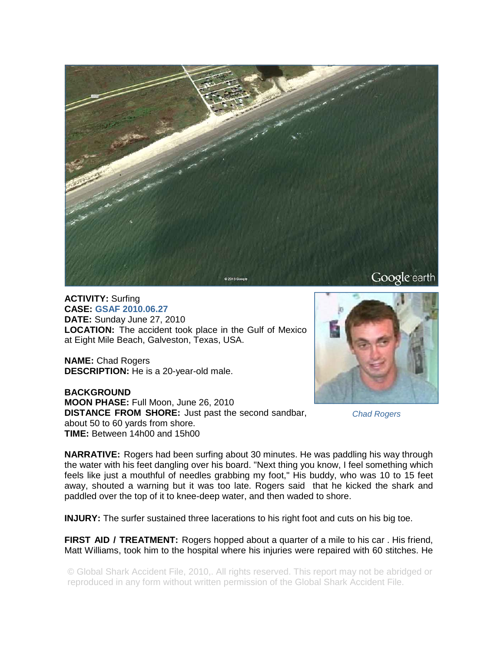

**ACTIVITY:** Surfing **CASE: GSAF 2010.06.27 DATE:** Sunday June 27, 2010 **LOCATION:** The accident took place in the Gulf of Mexico at Eight Mile Beach, Galveston, Texas, USA.

**NAME:** Chad Rogers **DESCRIPTION:** He is a 20-year-old male.

**BACKGROUND MOON PHASE:** Full Moon, June 26, 2010 **DISTANCE FROM SHORE:** Just past the second sandbar, about 50 to 60 yards from shore. **TIME:** Between 14h00 and 15h00



*Chad Rogers* 

**NARRATIVE:** Rogers had been surfing about 30 minutes. He was paddling his way through the water with his feet dangling over his board. "Next thing you know, I feel something which feels like just a mouthful of needles grabbing my foot," His buddy, who was 10 to 15 feet away, shouted a warning but it was too late. Rogers said that he kicked the shark and paddled over the top of it to knee-deep water, and then waded to shore.

**INJURY:** The surfer sustained three lacerations to his right foot and cuts on his big toe.

**FIRST AID / TREATMENT:** Rogers hopped about a quarter of a mile to his car. His friend, Matt Williams, took him to the hospital where his injuries were repaired with 60 stitches. He

© Global Shark Accident File, 2010,. All rights reserved. This report may not be abridged or reproduced in any form without written permission of the Global Shark Accident File.